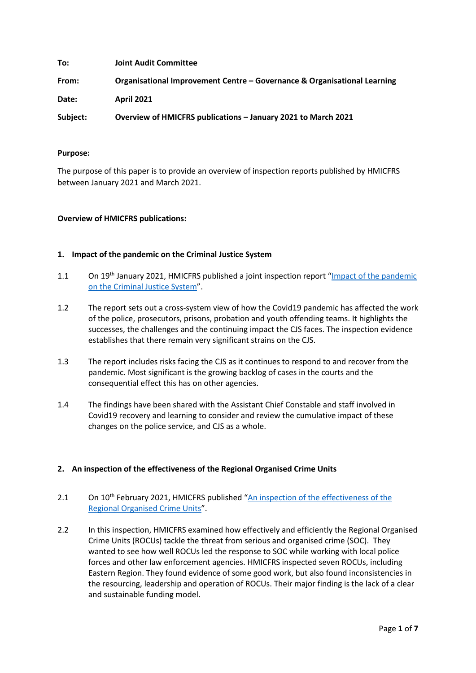| To:      | <b>Joint Audit Committee</b>                                             |
|----------|--------------------------------------------------------------------------|
| From:    | Organisational Improvement Centre – Governance & Organisational Learning |
| Date:    | <b>April 2021</b>                                                        |
| Subject: | Overview of HMICFRS publications - January 2021 to March 2021            |

## **Purpose:**

The purpose of this paper is to provide an overview of inspection reports published by HMICFRS between January 2021 and March 2021.

## **Overview of HMICFRS publications:**

### **1. Impact of the pandemic on the Criminal Justice System**

- 1.1 On 19<sup>th</sup> January 2021, HMICFRS published a joint inspection report "Impact of the pandemic [on the Criminal Justice System"](https://www.justiceinspectorates.gov.uk/cjji/wp-content/uploads/sites/2/2021/01/2021-01-13-State-of-nation.pdf).
- 1.2 The report sets out a cross-system view of how the Covid19 pandemic has affected the work of the police, prosecutors, prisons, probation and youth offending teams. It highlights the successes, the challenges and the continuing impact the CJS faces. The inspection evidence establishes that there remain very significant strains on the CJS.
- 1.3 The report includes risks facing the CJS as it continues to respond to and recover from the pandemic. Most significant is the growing backlog of cases in the courts and the consequential effect this has on other agencies.
- 1.4 The findings have been shared with the Assistant Chief Constable and staff involved in Covid19 recovery and learning to consider and review the cumulative impact of these changes on the police service, and CJS as a whole.

## **2. An inspection of the effectiveness of the Regional Organised Crime Units**

- 2.1 On 10<sup>th</sup> February 2021, HMICFRS published "An inspection of the effectiveness of the [Regional Organised Crime Units"](https://www.justiceinspectorates.gov.uk/hmicfrs/wp-content/uploads/an-inspection-of-the-effectiveness-of-the-regional-organised-crime-units.pdf).
- 2.2 In this inspection, HMICFRS examined how effectively and efficiently the Regional Organised Crime Units (ROCUs) tackle the threat from serious and organised crime (SOC). They wanted to see how well ROCUs led the response to SOC while working with local police forces and other law enforcement agencies. HMICFRS inspected seven ROCUs, including Eastern Region. They found evidence of some good work, but also found inconsistencies in the resourcing, leadership and operation of ROCUs. Their major finding is the lack of a clear and sustainable funding model.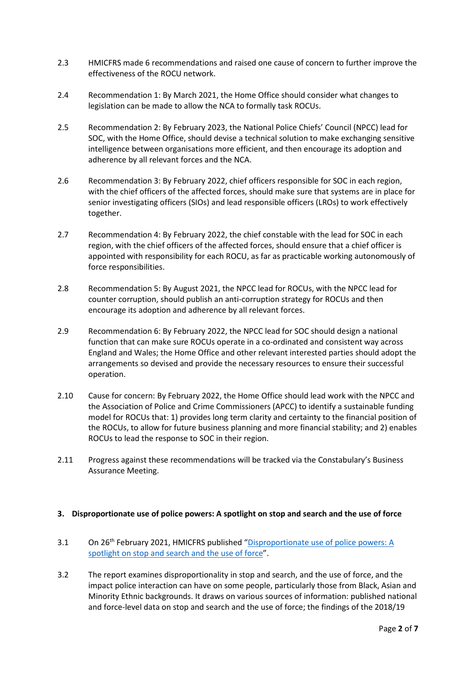- 2.3 HMICFRS made 6 recommendations and raised one cause of concern to further improve the effectiveness of the ROCU network.
- 2.4 Recommendation 1: By March 2021, the Home Office should consider what changes to legislation can be made to allow the NCA to formally task ROCUs.
- 2.5 Recommendation 2: By February 2023, the National Police Chiefs' Council (NPCC) lead for SOC, with the Home Office, should devise a technical solution to make exchanging sensitive intelligence between organisations more efficient, and then encourage its adoption and adherence by all relevant forces and the NCA.
- 2.6 Recommendation 3: By February 2022, chief officers responsible for SOC in each region, with the chief officers of the affected forces, should make sure that systems are in place for senior investigating officers (SIOs) and lead responsible officers (LROs) to work effectively together.
- 2.7 Recommendation 4: By February 2022, the chief constable with the lead for SOC in each region, with the chief officers of the affected forces, should ensure that a chief officer is appointed with responsibility for each ROCU, as far as practicable working autonomously of force responsibilities.
- 2.8 Recommendation 5: By August 2021, the NPCC lead for ROCUs, with the NPCC lead for counter corruption, should publish an anti-corruption strategy for ROCUs and then encourage its adoption and adherence by all relevant forces.
- 2.9 Recommendation 6: By February 2022, the NPCC lead for SOC should design a national function that can make sure ROCUs operate in a co-ordinated and consistent way across England and Wales; the Home Office and other relevant interested parties should adopt the arrangements so devised and provide the necessary resources to ensure their successful operation.
- 2.10 Cause for concern: By February 2022, the Home Office should lead work with the NPCC and the Association of Police and Crime Commissioners (APCC) to identify a sustainable funding model for ROCUs that: 1) provides long term clarity and certainty to the financial position of the ROCUs, to allow for future business planning and more financial stability; and 2) enables ROCUs to lead the response to SOC in their region.
- 2.11 Progress against these recommendations will be tracked via the Constabulary's Business Assurance Meeting.

## **3. Disproportionate use of police powers: A spotlight on stop and search and the use of force**

- 3.1 On 26<sup>th</sup> February 2021, HMICFRS published "Disproportionate use of police powers: A [spotlight on stop and search and the use of force"](https://www.justiceinspectorates.gov.uk/hmicfrs/wp-content/uploads/disproportionate-use-of-police-powers-spotlight-on-stop-search-and-use-of-force.pdf).
- 3.2 The report examines disproportionality in stop and search, and the use of force, and the impact police interaction can have on some people, particularly those from Black, Asian and Minority Ethnic backgrounds. It draws on various sources of information: published national and force-level data on stop and search and the use of force; the findings of the 2018/19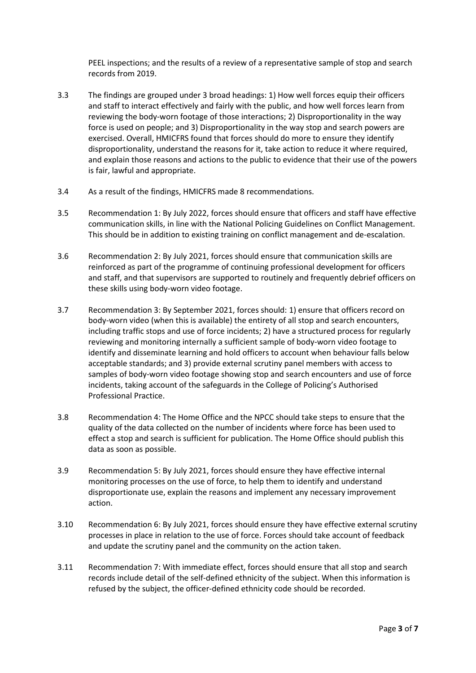PEEL inspections; and the results of a review of a representative sample of stop and search records from 2019.

- 3.3 The findings are grouped under 3 broad headings: 1) How well forces equip their officers and staff to interact effectively and fairly with the public, and how well forces learn from reviewing the body-worn footage of those interactions; 2) Disproportionality in the way force is used on people; and 3) Disproportionality in the way stop and search powers are exercised. Overall, HMICFRS found that forces should do more to ensure they identify disproportionality, understand the reasons for it, take action to reduce it where required, and explain those reasons and actions to the public to evidence that their use of the powers is fair, lawful and appropriate.
- 3.4 As a result of the findings, HMICFRS made 8 recommendations.
- 3.5 Recommendation 1: By July 2022, forces should ensure that officers and staff have effective communication skills, in line with the National Policing Guidelines on Conflict Management. This should be in addition to existing training on conflict management and de-escalation.
- 3.6 Recommendation 2: By July 2021, forces should ensure that communication skills are reinforced as part of the programme of continuing professional development for officers and staff, and that supervisors are supported to routinely and frequently debrief officers on these skills using body-worn video footage.
- 3.7 Recommendation 3: By September 2021, forces should: 1) ensure that officers record on body-worn video (when this is available) the entirety of all stop and search encounters, including traffic stops and use of force incidents; 2) have a structured process for regularly reviewing and monitoring internally a sufficient sample of body-worn video footage to identify and disseminate learning and hold officers to account when behaviour falls below acceptable standards; and 3) provide external scrutiny panel members with access to samples of body-worn video footage showing stop and search encounters and use of force incidents, taking account of the safeguards in the College of Policing's Authorised Professional Practice.
- 3.8 Recommendation 4: The Home Office and the NPCC should take steps to ensure that the quality of the data collected on the number of incidents where force has been used to effect a stop and search is sufficient for publication. The Home Office should publish this data as soon as possible.
- 3.9 Recommendation 5: By July 2021, forces should ensure they have effective internal monitoring processes on the use of force, to help them to identify and understand disproportionate use, explain the reasons and implement any necessary improvement action.
- 3.10 Recommendation 6: By July 2021, forces should ensure they have effective external scrutiny processes in place in relation to the use of force. Forces should take account of feedback and update the scrutiny panel and the community on the action taken.
- 3.11 Recommendation 7: With immediate effect, forces should ensure that all stop and search records include detail of the self-defined ethnicity of the subject. When this information is refused by the subject, the officer-defined ethnicity code should be recorded.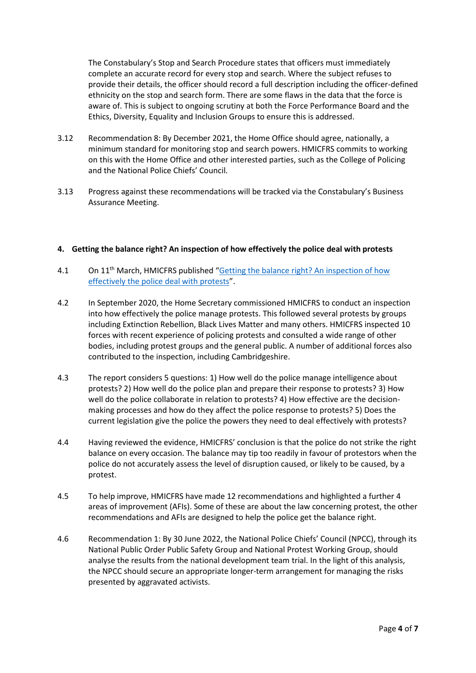The Constabulary's Stop and Search Procedure states that officers must immediately complete an accurate record for every stop and search. Where the subject refuses to provide their details, the officer should record a full description including the officer-defined ethnicity on the stop and search form. There are some flaws in the data that the force is aware of. This is subject to ongoing scrutiny at both the Force Performance Board and the Ethics, Diversity, Equality and Inclusion Groups to ensure this is addressed.

- 3.12 Recommendation 8: By December 2021, the Home Office should agree, nationally, a minimum standard for monitoring stop and search powers. HMICFRS commits to working on this with the Home Office and other interested parties, such as the College of Policing and the National Police Chiefs' Council.
- 3.13 Progress against these recommendations will be tracked via the Constabulary's Business Assurance Meeting.

## **4. Getting the balance right? An inspection of how effectively the police deal with protests**

- 4.1 On 11<sup>th</sup> March, HMICFRS published "Getting the balance right? An inspection of how [effectively the police deal with protests"](https://www.justiceinspectorates.gov.uk/hmicfrs/wp-content/uploads/getting-the-balance-right-an-inspection-of-how-effectively-the-police-deal-with-protests.pdf).
- 4.2 In September 2020, the Home Secretary commissioned HMICFRS to conduct an inspection into how effectively the police manage protests. This followed several protests by groups including Extinction Rebellion, Black Lives Matter and many others. HMICFRS inspected 10 forces with recent experience of policing protests and consulted a wide range of other bodies, including protest groups and the general public. A number of additional forces also contributed to the inspection, including Cambridgeshire.
- 4.3 The report considers 5 questions: 1) How well do the police manage intelligence about protests? 2) How well do the police plan and prepare their response to protests? 3) How well do the police collaborate in relation to protests? 4) How effective are the decisionmaking processes and how do they affect the police response to protests? 5) Does the current legislation give the police the powers they need to deal effectively with protests?
- 4.4 Having reviewed the evidence, HMICFRS' conclusion is that the police do not strike the right balance on every occasion. The balance may tip too readily in favour of protestors when the police do not accurately assess the level of disruption caused, or likely to be caused, by a protest.
- 4.5 To help improve, HMICFRS have made 12 recommendations and highlighted a further 4 areas of improvement (AFIs). Some of these are about the law concerning protest, the other recommendations and AFIs are designed to help the police get the balance right.
- 4.6 Recommendation 1: By 30 June 2022, the National Police Chiefs' Council (NPCC), through its National Public Order Public Safety Group and National Protest Working Group, should analyse the results from the national development team trial. In the light of this analysis, the NPCC should secure an appropriate longer-term arrangement for managing the risks presented by aggravated activists.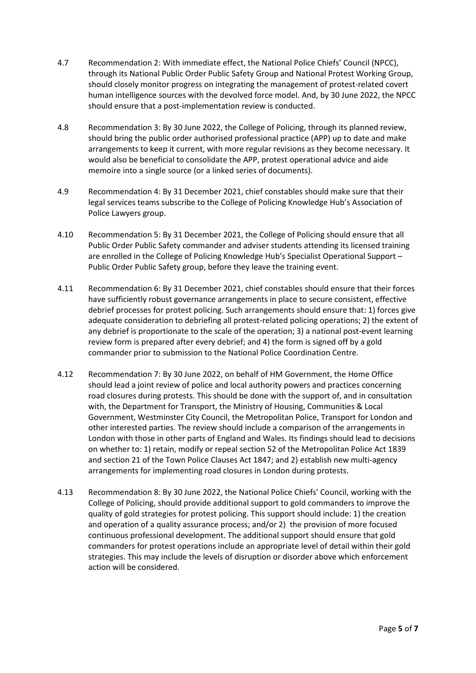- 4.7 Recommendation 2: With immediate effect, the National Police Chiefs' Council (NPCC), through its National Public Order Public Safety Group and National Protest Working Group, should closely monitor progress on integrating the management of protest-related covert human intelligence sources with the devolved force model. And, by 30 June 2022, the NPCC should ensure that a post-implementation review is conducted.
- 4.8 Recommendation 3: By 30 June 2022, the College of Policing, through its planned review, should bring the public order authorised professional practice (APP) up to date and make arrangements to keep it current, with more regular revisions as they become necessary. It would also be beneficial to consolidate the APP, protest operational advice and aide memoire into a single source (or a linked series of documents).
- 4.9 Recommendation 4: By 31 December 2021, chief constables should make sure that their legal services teams subscribe to the College of Policing Knowledge Hub's Association of Police Lawyers group.
- 4.10 Recommendation 5: By 31 December 2021, the College of Policing should ensure that all Public Order Public Safety commander and adviser students attending its licensed training are enrolled in the College of Policing Knowledge Hub's Specialist Operational Support – Public Order Public Safety group, before they leave the training event.
- 4.11 Recommendation 6: By 31 December 2021, chief constables should ensure that their forces have sufficiently robust governance arrangements in place to secure consistent, effective debrief processes for protest policing. Such arrangements should ensure that: 1) forces give adequate consideration to debriefing all protest-related policing operations; 2) the extent of any debrief is proportionate to the scale of the operation; 3) a national post-event learning review form is prepared after every debrief; and 4) the form is signed off by a gold commander prior to submission to the National Police Coordination Centre.
- 4.12 Recommendation 7: By 30 June 2022, on behalf of HM Government, the Home Office should lead a joint review of police and local authority powers and practices concerning road closures during protests. This should be done with the support of, and in consultation with, the Department for Transport, the Ministry of Housing, Communities & Local Government, Westminster City Council, the Metropolitan Police, Transport for London and other interested parties. The review should include a comparison of the arrangements in London with those in other parts of England and Wales. Its findings should lead to decisions on whether to: 1) retain, modify or repeal section 52 of the Metropolitan Police Act 1839 and section 21 of the Town Police Clauses Act 1847; and 2) establish new multi-agency arrangements for implementing road closures in London during protests.
- 4.13 Recommendation 8: By 30 June 2022, the National Police Chiefs' Council, working with the College of Policing, should provide additional support to gold commanders to improve the quality of gold strategies for protest policing. This support should include: 1) the creation and operation of a quality assurance process; and/or 2) the provision of more focused continuous professional development. The additional support should ensure that gold commanders for protest operations include an appropriate level of detail within their gold strategies. This may include the levels of disruption or disorder above which enforcement action will be considered.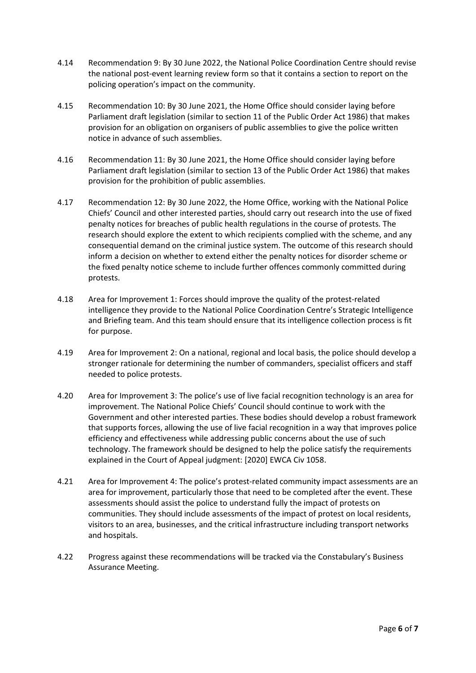- 4.14 Recommendation 9: By 30 June 2022, the National Police Coordination Centre should revise the national post-event learning review form so that it contains a section to report on the policing operation's impact on the community.
- 4.15 Recommendation 10: By 30 June 2021, the Home Office should consider laying before Parliament draft legislation (similar to section 11 of the Public Order Act 1986) that makes provision for an obligation on organisers of public assemblies to give the police written notice in advance of such assemblies.
- 4.16 Recommendation 11: By 30 June 2021, the Home Office should consider laying before Parliament draft legislation (similar to section 13 of the Public Order Act 1986) that makes provision for the prohibition of public assemblies.
- 4.17 Recommendation 12: By 30 June 2022, the Home Office, working with the National Police Chiefs' Council and other interested parties, should carry out research into the use of fixed penalty notices for breaches of public health regulations in the course of protests. The research should explore the extent to which recipients complied with the scheme, and any consequential demand on the criminal justice system. The outcome of this research should inform a decision on whether to extend either the penalty notices for disorder scheme or the fixed penalty notice scheme to include further offences commonly committed during protests.
- 4.18 Area for Improvement 1: Forces should improve the quality of the protest-related intelligence they provide to the National Police Coordination Centre's Strategic Intelligence and Briefing team. And this team should ensure that its intelligence collection process is fit for purpose.
- 4.19 Area for Improvement 2: On a national, regional and local basis, the police should develop a stronger rationale for determining the number of commanders, specialist officers and staff needed to police protests.
- 4.20 Area for Improvement 3: The police's use of live facial recognition technology is an area for improvement. The National Police Chiefs' Council should continue to work with the Government and other interested parties. These bodies should develop a robust framework that supports forces, allowing the use of live facial recognition in a way that improves police efficiency and effectiveness while addressing public concerns about the use of such technology. The framework should be designed to help the police satisfy the requirements explained in the Court of Appeal judgment: [2020] EWCA Civ 1058.
- 4.21 Area for Improvement 4: The police's protest-related community impact assessments are an area for improvement, particularly those that need to be completed after the event. These assessments should assist the police to understand fully the impact of protests on communities. They should include assessments of the impact of protest on local residents, visitors to an area, businesses, and the critical infrastructure including transport networks and hospitals.
- 4.22 Progress against these recommendations will be tracked via the Constabulary's Business Assurance Meeting.